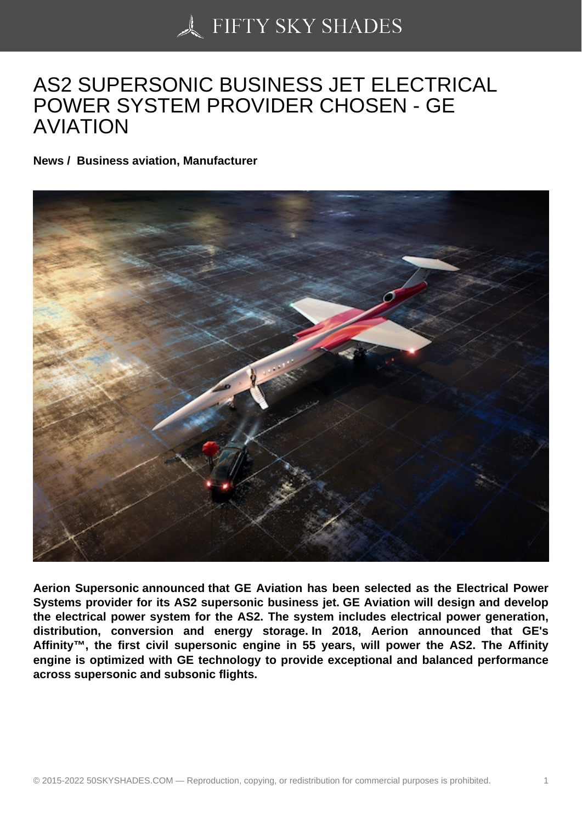## [AS2 SUPERSONIC BU](https://50skyshades.com)SINESS JET ELECTRICAL POWER SYSTEM PROVIDER CHOSEN - GE AVIATION

News / Business aviation, Manufacturer

Aerion Supersonic announced that GE Aviation has been selected as the Electrical Power Systems provider for its AS2 supersonic business jet. GE Aviation will design and develop the electrical power system for the AS2. The system includes electrical power generation, distribution, conversion and energy storage. In 2018, Aerion announced that GE's Affinity™, the first civil supersonic engine in 55 years, will power the AS2. The Affinity engine is optimized with GE technology to provide exceptional and balanced performance across supersonic and subsonic flights.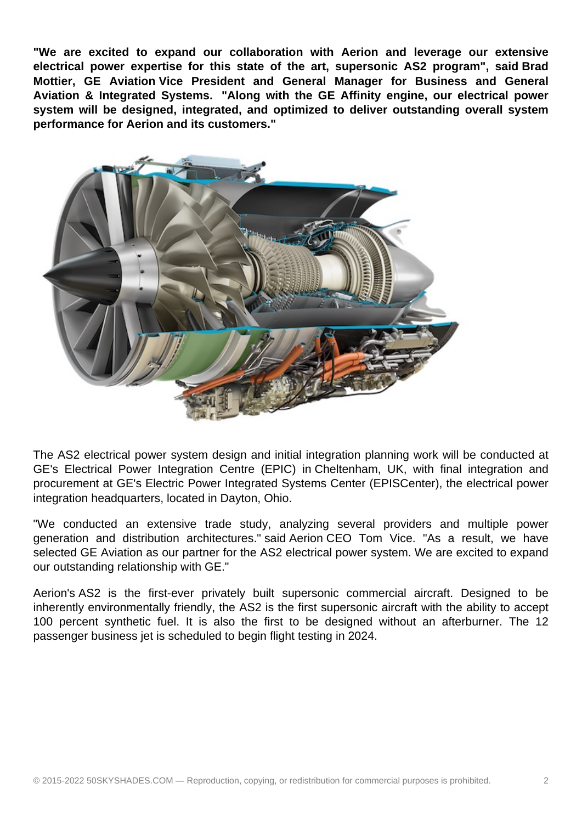**"We are excited to expand our collaboration with Aerion and leverage our extensive electrical power expertise for this state of the art, supersonic AS2 program", said Brad Mottier, GE Aviation Vice President and General Manager for Business and General Aviation & Integrated Systems. "Along with the GE Affinity engine, our electrical power system will be designed, integrated, and optimized to deliver outstanding overall system performance for Aerion and its customers."** 



The AS2 electrical power system design and initial integration planning work will be conducted at GE's Electrical Power Integration Centre (EPIC) in Cheltenham, UK, with final integration and procurement at GE's Electric Power Integrated Systems Center (EPISCenter), the electrical power integration headquarters, located in Dayton, Ohio.

"We conducted an extensive trade study, analyzing several providers and multiple power generation and distribution architectures." said Aerion CEO Tom Vice. "As a result, we have selected GE Aviation as our partner for the AS2 electrical power system. We are excited to expand our outstanding relationship with GE."

Aerion's AS2 is the first-ever privately built supersonic commercial aircraft. Designed to be inherently environmentally friendly, the AS2 is the first supersonic aircraft with the ability to accept 100 percent synthetic fuel. It is also the first to be designed without an afterburner. The 12 passenger business jet is scheduled to begin flight testing in 2024.